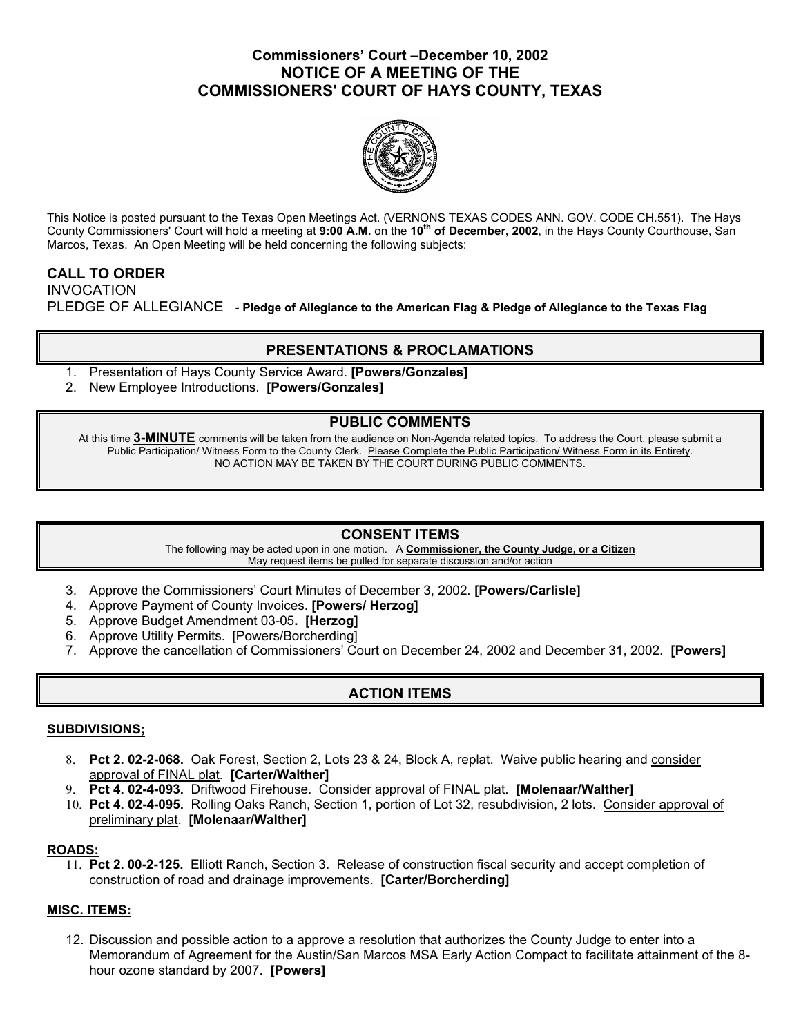## **Commissioners' Court –December 10, 2002 NOTICE OF A MEETING OF THE COMMISSIONERS' COURT OF HAYS COUNTY, TEXAS**



This Notice is posted pursuant to the Texas Open Meetings Act. (VERNONS TEXAS CODES ANN. GOV. CODE CH.551). The Hays County Commissioners' Court will hold a meeting at **9:00 A.M.** on the **10th of December, 2002**, in the Hays County Courthouse, San Marcos, Texas. An Open Meeting will be held concerning the following subjects:

# **CALL TO ORDER**  INVOCATION PLEDGE OF ALLEGIANCE - **Pledge of Allegiance to the American Flag & Pledge of Allegiance to the Texas Flag**

# **PRESENTATIONS & PROCLAMATIONS**

- 1. Presentation of Hays County Service Award. **[Powers/Gonzales]**
- 2. New Employee Introductions. **[Powers/Gonzales]**

## **PUBLIC COMMENTS**

At this time **3-MINUTE** comments will be taken from the audience on Non-Agenda related topics. To address the Court, please submit a Public Participation/ Witness Form to the County Clerk. Please Complete the Public Participation/ Witness Form in its Entirety. NO ACTION MAY BE TAKEN BY THE COURT DURING PUBLIC COMMENTS.

## **CONSENT ITEMS**

The following may be acted upon in one motion. A **Commissioner, the County Judge, or a Citizen** May request items be pulled for separate discussion and/or action

- 3. Approve the Commissioners' Court Minutes of December 3, 2002. **[Powers/Carlisle]**
- 4. Approve Payment of County Invoices. **[Powers/ Herzog]**
- 5. Approve Budget Amendment 03-05**. [Herzog]**
- 6. Approve Utility Permits. [Powers/Borcherding]
- 7. Approve the cancellation of Commissioners' Court on December 24, 2002 and December 31, 2002. **[Powers]**

# **ACTION ITEMS**

#### **SUBDIVISIONS;**

- 8. **Pct 2. 02-2-068.** Oak Forest, Section 2, Lots 23 & 24, Block A, replat. Waive public hearing and consider approval of FINAL plat. **[Carter/Walther]**
- 9. **Pct 4. 02-4-093.** Driftwood Firehouse. Consider approval of FINAL plat. **[Molenaar/Walther]**
- 10. **Pct 4. 02-4-095.** Rolling Oaks Ranch, Section 1, portion of Lot 32, resubdivision, 2 lots. Consider approval of preliminary plat. **[Molenaar/Walther]**

### **ROADS:**

11. **Pct 2. 00-2-125.** Elliott Ranch, Section 3. Release of construction fiscal security and accept completion of construction of road and drainage improvements. **[Carter/Borcherding]**

### **MISC. ITEMS:**

12. Discussion and possible action to a approve a resolution that authorizes the County Judge to enter into a Memorandum of Agreement for the Austin/San Marcos MSA Early Action Compact to facilitate attainment of the 8 hour ozone standard by 2007. **[Powers]**